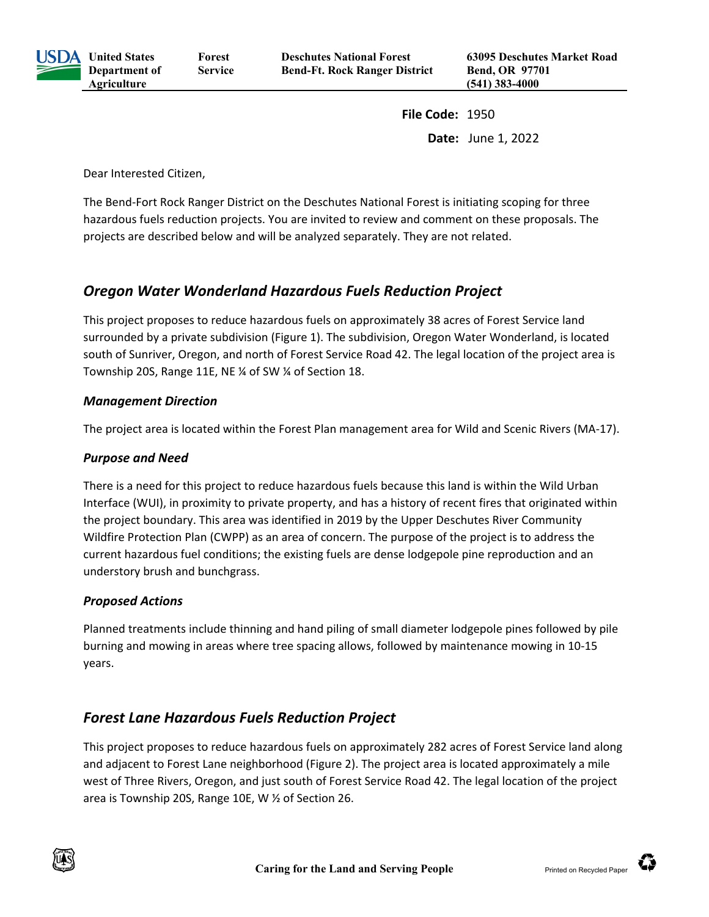

**United States Department of Forest Service**

**File Code:** 1950 **Date:** June 1, 2022

Dear Interested Citizen,

**Agriculture**

The Bend-Fort Rock Ranger District on the Deschutes National Forest is initiating scoping for three hazardous fuels reduction projects. You are invited to review and comment on these proposals. The projects are described below and will be analyzed separately. They are not related.

# *Oregon Water Wonderland Hazardous Fuels Reduction Project*

This project proposes to reduce hazardous fuels on approximately 38 acres of Forest Service land surrounded by a private subdivision [\(Figure 1\)](#page-3-0). The subdivision, Oregon Water Wonderland, is located south of Sunriver, Oregon, and north of Forest Service Road 42. The legal location of the project area is Township 20S, Range 11E, NE ¼ of SW ¼ of Section 18.

#### *Management Direction*

The project area is located within the Forest Plan management area for Wild and Scenic Rivers (MA-17).

### *Purpose and Need*

There is a need for this project to reduce hazardous fuels because this land is within the Wild Urban Interface (WUI), in proximity to private property, and has a history of recent fires that originated within the project boundary. This area was identified in 2019 by the Upper Deschutes River Community Wildfire Protection Plan (CWPP) as an area of concern. The purpose of the project is to address the current hazardous fuel conditions; the existing fuels are dense lodgepole pine reproduction and an understory brush and bunchgrass.

## *Proposed Actions*

Planned treatments include thinning and hand piling of small diameter lodgepole pines followed by pile burning and mowing in areas where tree spacing allows, followed by maintenance mowing in 10-15 years.

# *Forest Lane Hazardous Fuels Reduction Project*

This project proposes to reduce hazardous fuels on approximately 282 acres of Forest Service land along and adjacent to Forest Lane neighborhood [\(Figure 2\)](#page-4-0). The project area is located approximately a mile west of Three Rivers, Oregon, and just south of Forest Service Road 42. The legal location of the project area is Township 20S, Range 10E, W ½ of Section 26.

Œ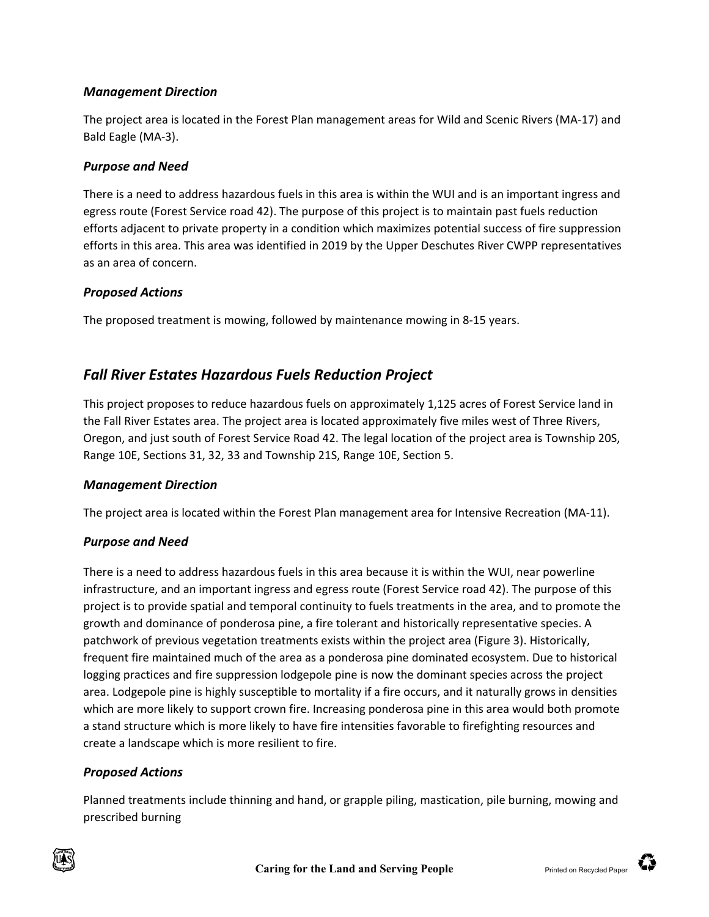### *Management Direction*

The project area is located in the Forest Plan management areas for Wild and Scenic Rivers (MA-17) and Bald Eagle (MA-3).

### *Purpose and Need*

There is a need to address hazardous fuels in this area is within the WUI and is an important ingress and egress route (Forest Service road 42). The purpose of this project is to maintain past fuels reduction efforts adjacent to private property in a condition which maximizes potential success of fire suppression efforts in this area. This area was identified in 2019 by the Upper Deschutes River CWPP representatives as an area of concern.

### *Proposed Actions*

The proposed treatment is mowing, followed by maintenance mowing in 8-15 years.

# *Fall River Estates Hazardous Fuels Reduction Project*

This project proposes to reduce hazardous fuels on approximately 1,125 acres of Forest Service land in the Fall River Estates area. The project area is located approximately five miles west of Three Rivers, Oregon, and just south of Forest Service Road 42. The legal location of the project area is Township 20S, Range 10E, Sections 31, 32, 33 and Township 21S, Range 10E, Section 5.

#### *Management Direction*

The project area is located within the Forest Plan management area for Intensive Recreation (MA-11).

## *Purpose and Need*

There is a need to address hazardous fuels in this area because it is within the WUI, near powerline infrastructure, and an important ingress and egress route (Forest Service road 42). The purpose of this project is to provide spatial and temporal continuity to fuels treatments in the area, and to promote the growth and dominance of ponderosa pine, a fire tolerant and historically representative species. A patchwork of previous vegetation treatments exists within the project area [\(Figure 3\)](#page-5-0). Historically, frequent fire maintained much of the area as a ponderosa pine dominated ecosystem. Due to historical logging practices and fire suppression lodgepole pine is now the dominant species across the project area. Lodgepole pine is highly susceptible to mortality if a fire occurs, and it naturally grows in densities which are more likely to support crown fire. Increasing ponderosa pine in this area would both promote a stand structure which is more likely to have fire intensities favorable to firefighting resources and create a landscape which is more resilient to fire.

## *Proposed Actions*

Planned treatments include thinning and hand, or grapple piling, mastication, pile burning, mowing and prescribed burning



**TO**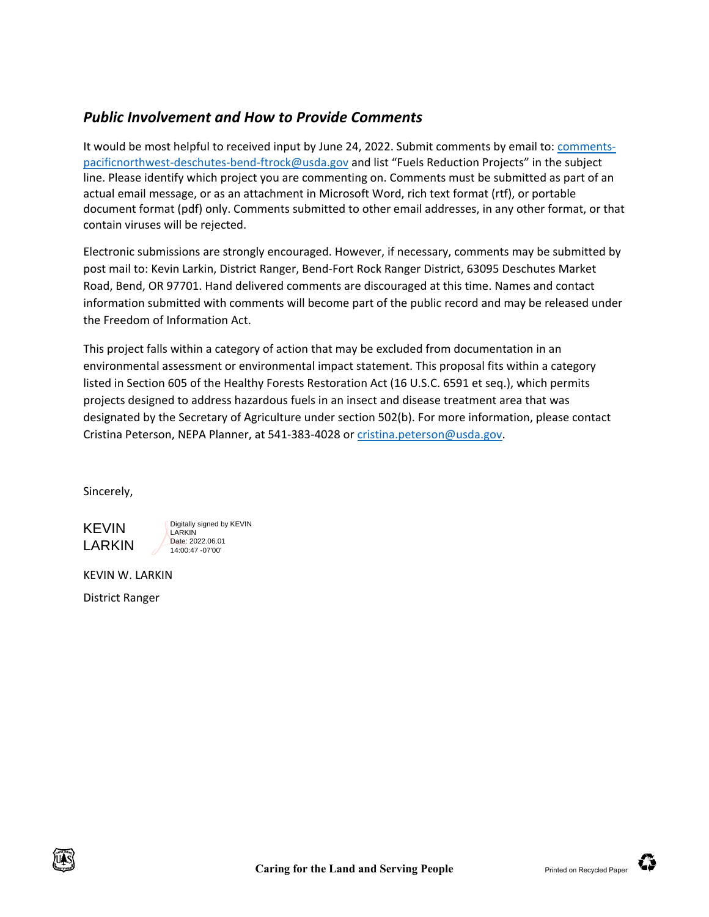# *Public Involvement and How to Provide Comments*

It would be most helpful to received input by June 24, 2022. Submit comments by email to[: comments](mailto:comments-pacificnorthwest-deschutes-bend-ftrock@usda.gov)[pacificnorthwest-deschutes-bend-ftrock@usda.gov](mailto:comments-pacificnorthwest-deschutes-bend-ftrock@usda.gov) and list "Fuels Reduction Projects" in the subject line. Please identify which project you are commenting on. Comments must be submitted as part of an actual email message, or as an attachment in Microsoft Word, rich text format (rtf), or portable document format (pdf) only. Comments submitted to other email addresses, in any other format, or that contain viruses will be rejected.

Electronic submissions are strongly encouraged. However, if necessary, comments may be submitted by post mail to: Kevin Larkin, District Ranger, Bend-Fort Rock Ranger District, 63095 Deschutes Market Road, Bend, OR 97701. Hand delivered comments are discouraged at this time. Names and contact information submitted with comments will become part of the public record and may be released under the Freedom of Information Act.

This project falls within a category of action that may be excluded from documentation in an environmental assessment or environmental impact statement. This proposal fits within a category listed in Section 605 of the Healthy Forests Restoration Act (16 U.S.C. 6591 et seq.), which permits projects designed to address hazardous fuels in an insect and disease treatment area that was designated by the Secretary of Agriculture under section 502(b). For more information, please contact Cristina Peterson, NEPA Planner, at 541-383-4028 or [cristina.peterson@usda.gov.](mailto:cristina.peterson@usda.gov)

Sincerely,

KEVIN LARKIN

Digitally signed by KEVIN **LARKIN** Date: 2022.06.01 14:00:47 -07'00'

KEVIN W. LARKIN

District Ranger

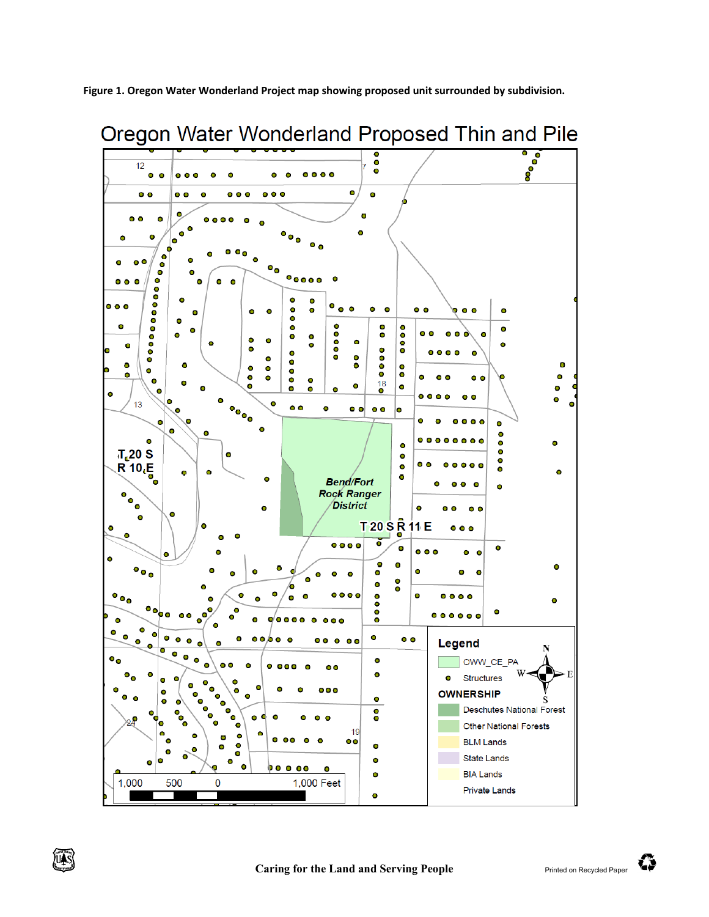<span id="page-3-0"></span>**Figure 1. Oregon Water Wonderland Project map showing proposed unit surrounded by subdivision.**





₩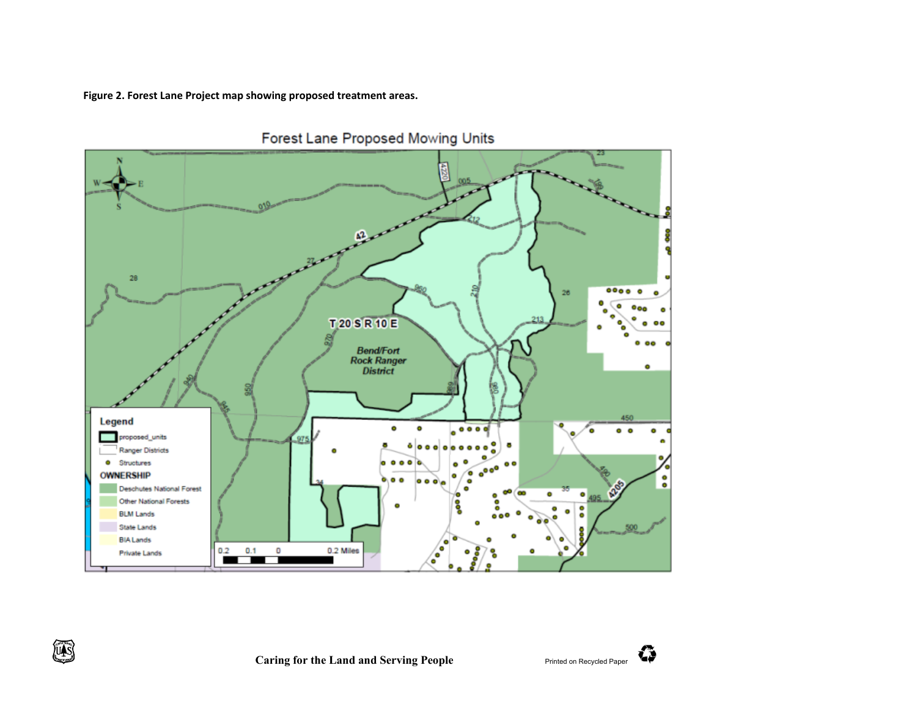**Figure 2. Forest Lane Project map showing proposed treatment areas.**

<span id="page-4-0"></span>

Forest Lane Proposed Mowing Units